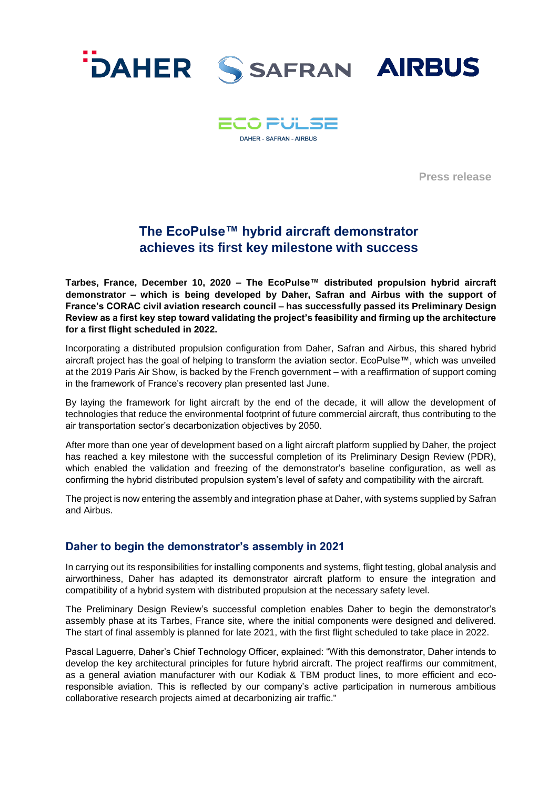



**Press release**

# **The EcoPulse™ hybrid aircraft demonstrator achieves its first key milestone with success**

**Tarbes, France, December 10, 2020 – The EcoPulse™ distributed propulsion hybrid aircraft demonstrator – which is being developed by Daher, Safran and Airbus with the support of France's CORAC civil aviation research council – has successfully passed its Preliminary Design Review as a first key step toward validating the project's feasibility and firming up the architecture for a first flight scheduled in 2022.**

Incorporating a distributed propulsion configuration from Daher, Safran and Airbus, this shared hybrid aircraft project has the goal of helping to transform the aviation sector. EcoPulse™, which was unveiled at the 2019 Paris Air Show, is backed by the French government – with a reaffirmation of support coming in the framework of France's recovery plan presented last June.

By laying the framework for light aircraft by the end of the decade, it will allow the development of technologies that reduce the environmental footprint of future commercial aircraft, thus contributing to the air transportation sector's decarbonization objectives by 2050.

After more than one year of development based on a light aircraft platform supplied by Daher, the project has reached a key milestone with the successful completion of its Preliminary Design Review (PDR), which enabled the validation and freezing of the demonstrator's baseline configuration, as well as confirming the hybrid distributed propulsion system's level of safety and compatibility with the aircraft.

The project is now entering the assembly and integration phase at Daher, with systems supplied by Safran and Airbus.

## **Daher to begin the demonstrator's assembly in 2021**

In carrying out its responsibilities for installing components and systems, flight testing, global analysis and airworthiness, Daher has adapted its demonstrator aircraft platform to ensure the integration and compatibility of a hybrid system with distributed propulsion at the necessary safety level.

The Preliminary Design Review's successful completion enables Daher to begin the demonstrator's assembly phase at its Tarbes, France site, where the initial components were designed and delivered. The start of final assembly is planned for late 2021, with the first flight scheduled to take place in 2022.

Pascal Laguerre, Daher's Chief Technology Officer, explained: "With this demonstrator, Daher intends to develop the key architectural principles for future hybrid aircraft. The project reaffirms our commitment, as a general aviation manufacturer with our Kodiak & TBM product lines, to more efficient and ecoresponsible aviation. This is reflected by our company's active participation in numerous ambitious collaborative research projects aimed at decarbonizing air traffic."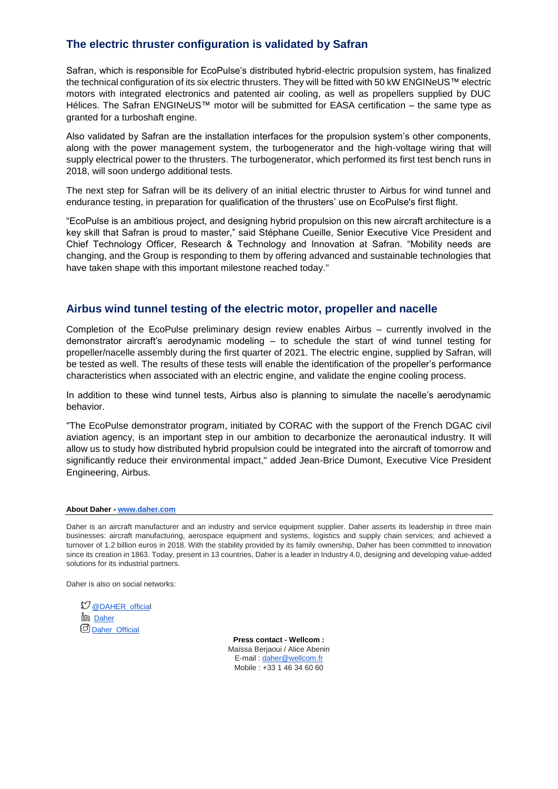# **The electric thruster configuration is validated by Safran**

Safran, which is responsible for EcoPulse's distributed hybrid-electric propulsion system, has finalized the technical configuration of its six electric thrusters. They will be fitted with 50 kW ENGINeUS™ electric motors with integrated electronics and patented air cooling, as well as propellers supplied by DUC Hélices. The Safran ENGINeUS™ motor will be submitted for EASA certification – the same type as granted for a turboshaft engine.

Also validated by Safran are the installation interfaces for the propulsion system's other components, along with the power management system, the turbogenerator and the high-voltage wiring that will supply electrical power to the thrusters. The turbogenerator, which performed its first test bench runs in 2018, will soon undergo additional tests.

The next step for Safran will be its delivery of an initial electric thruster to Airbus for wind tunnel and endurance testing, in preparation for qualification of the thrusters' use on EcoPulse's first flight.

"EcoPulse is an ambitious project, and designing hybrid propulsion on this new aircraft architecture is a key skill that Safran is proud to master," said Stéphane Cueille, Senior Executive Vice President and Chief Technology Officer, Research & Technology and Innovation at Safran. "Mobility needs are changing, and the Group is responding to them by offering advanced and sustainable technologies that have taken shape with this important milestone reached today."

### **Airbus wind tunnel testing of the electric motor, propeller and nacelle**

Completion of the EcoPulse preliminary design review enables Airbus – currently involved in the demonstrator aircraft's aerodynamic modeling – to schedule the start of wind tunnel testing for propeller/nacelle assembly during the first quarter of 2021. The electric engine, supplied by Safran, will be tested as well. The results of these tests will enable the identification of the propeller's performance characteristics when associated with an electric engine, and validate the engine cooling process.

In addition to these wind tunnel tests, Airbus also is planning to simulate the nacelle's aerodynamic behavior.

"The EcoPulse demonstrator program, initiated by CORAC with the support of the French DGAC civil aviation agency, is an important step in our ambition to decarbonize the aeronautical industry. It will allow us to study how distributed hybrid propulsion could be integrated into the aircraft of tomorrow and significantly reduce their environmental impact," added Jean-Brice Dumont, Executive Vice President Engineering, Airbus.

### **About Daher - [www.daher.com](http://www.daher.com/)**

Daher is an aircraft manufacturer and an industry and service equipment supplier. Daher asserts its leadership in three main businesses: aircraft manufacturing, aerospace equipment and systems, logistics and supply chain services; and achieved a turnover of 1.2 billion euros in 2018. With the stability provided by its family ownership, Daher has been committed to innovation since its creation in 1863. Today, present in 13 countries, Daher is a leader in Industry 4.0, designing and developing value-added solutions for its industrial partners.

Daher is also on social networks:

 $\mathfrak O$  [@DAHER\\_official](https://twitter.com/DAHER_official) ີ້ມີ D<u>aher</u> **O** [Daher\\_Official](https://www.instagram.com/daher_official/)

**Press contact - Wellcom :** Maïssa Berjaoui / Alice Abenin E-mail : [daher@wellcom.fr](mailto:daher@wellcom.fr)  Mobile : +33 1 46 34 60 60